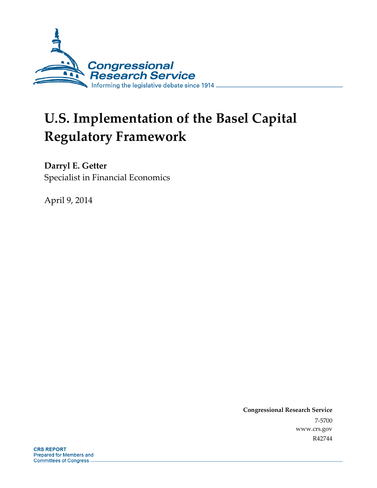

# **U.S. Implementation of the Basel Capital Regulatory Framework**

**Darryl E. Getter**  Specialist in Financial Economics

April 9, 2014

**Congressional Research Service**  7-5700 www.crs.gov R42744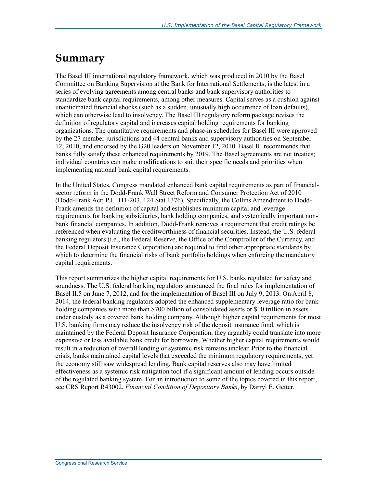## **Summary**

The Basel III international regulatory framework, which was produced in 2010 by the Basel Committee on Banking Supervision at the Bank for International Settlements, is the latest in a series of evolving agreements among central banks and bank supervisory authorities to standardize bank capital requirements, among other measures. Capital serves as a cushion against unanticipated financial shocks (such as a sudden, unusually high occurrence of loan defaults), which can otherwise lead to insolvency. The Basel III regulatory reform package revises the definition of regulatory capital and increases capital holding requirements for banking organizations. The quantitative requirements and phase-in schedules for Basel III were approved by the 27 member jurisdictions and 44 central banks and supervisory authorities on September 12, 2010, and endorsed by the G20 leaders on November 12, 2010. Basel III recommends that banks fully satisfy these enhanced requirements by 2019. The Basel agreements are not treaties; individual countries can make modifications to suit their specific needs and priorities when implementing national bank capital requirements.

In the United States, Congress mandated enhanced bank capital requirements as part of financialsector reform in the Dodd-Frank Wall Street Reform and Consumer Protection Act of 2010 (Dodd-Frank Act; P.L. 111-203, 124 Stat.1376). Specifically, the Collins Amendment to Dodd-Frank amends the definition of capital and establishes minimum capital and leverage requirements for banking subsidiaries, bank holding companies, and systemically important nonbank financial companies. In addition, Dodd-Frank removes a requirement that credit ratings be referenced when evaluating the creditworthiness of financial securities. Instead, the U.S. federal banking regulators (i.e., the Federal Reserve, the Office of the Comptroller of the Currency, and the Federal Deposit Insurance Corporation) are required to find other appropriate standards by which to determine the financial risks of bank portfolio holdings when enforcing the mandatory capital requirements.

This report summarizes the higher capital requirements for U.S. banks regulated for safety and soundness. The U.S. federal banking regulators announced the final rules for implementation of Basel II.5 on June 7, 2012, and for the implementation of Basel III on July 9, 2013. On April 8, 2014, the federal banking regulators adopted the enhanced supplementary leverage ratio for bank holding companies with more than \$700 billion of consolidated assets or \$10 trillion in assets under custody as a covered bank holding company. Although higher capital requirements for most U.S. banking firms may reduce the insolvency risk of the deposit insurance fund, which is maintained by the Federal Deposit Insurance Corporation, they arguably could translate into more expensive or less available bank credit for borrowers. Whether higher capital requirements would result in a reduction of overall lending or systemic risk remains unclear. Prior to the financial crisis, banks maintained capital levels that exceeded the minimum regulatory requirements, yet the economy still saw widespread lending. Bank capital reserves also may have limited effectiveness as a systemic risk mitigation tool if a significant amount of lending occurs outside of the regulated banking system. For an introduction to some of the topics covered in this report, see CRS Report R43002, *Financial Condition of Depository Banks*, by Darryl E. Getter.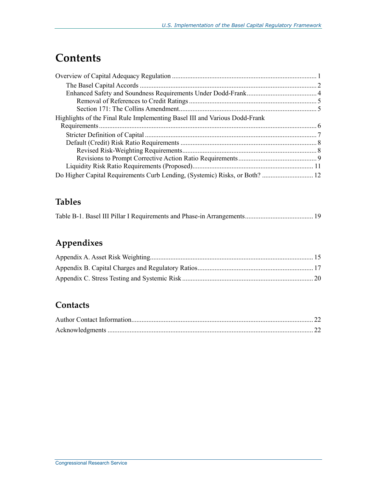## **Contents**

| Highlights of the Final Rule Implementing Basel III and Various Dodd-Frank |  |
|----------------------------------------------------------------------------|--|
|                                                                            |  |
|                                                                            |  |
|                                                                            |  |
|                                                                            |  |
|                                                                            |  |
|                                                                            |  |
|                                                                            |  |

## **Tables**

|--|--|

## **Appendixes**

## **Contacts**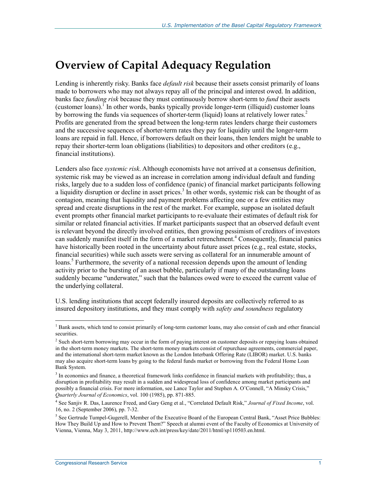## **Overview of Capital Adequacy Regulation**

Lending is inherently risky. Banks face *default risk* because their assets consist primarily of loans made to borrowers who may not always repay all of the principal and interest owed. In addition, banks face *funding risk* because they must continuously borrow short-term to *fund* their assets (customer loans).<sup>I</sup> In other words, banks typically provide longer-term (illiquid) customer loans by borrowing the funds via sequences of shorter-term (liquid) loans at relatively lower rates.<sup>2</sup> Profits are generated from the spread between the long-term rates lenders charge their customers and the successive sequences of shorter-term rates they pay for liquidity until the longer-term loans are repaid in full. Hence, if borrowers default on their loans, then lenders might be unable to repay their shorter-term loan obligations (liabilities) to depositors and other creditors (e.g., financial institutions).

Lenders also face *systemic risk*. Although economists have not arrived at a consensus definition, systemic risk may be viewed as an increase in correlation among individual default and funding risks, largely due to a sudden loss of confidence (panic) of financial market participants following a liquidity disruption or decline in asset prices.<sup>3</sup> In other words, systemic risk can be thought of as contagion, meaning that liquidity and payment problems affecting one or a few entities may spread and create disruptions in the rest of the market. For example, suppose an isolated default event prompts other financial market participants to re-evaluate their estimates of default risk for similar or related financial activities. If market participants suspect that an observed default event is relevant beyond the directly involved entities, then growing pessimism of creditors of investors can suddenly manifest itself in the form of a market retrenchment.<sup>4</sup> Consequently, financial panics have historically been rooted in the uncertainty about future asset prices (e.g., real estate, stocks, financial securities) while such assets were serving as collateral for an innumerable amount of loans.<sup>5</sup> Furthermore, the severity of a national recession depends upon the amount of lending activity prior to the bursting of an asset bubble, particularly if many of the outstanding loans suddenly became "underwater," such that the balances owed were to exceed the current value of the underlying collateral.

U.S. lending institutions that accept federally insured deposits are collectively referred to as insured depository institutions, and they must comply with *safety and soundness* regulatory

<sup>&</sup>lt;sup>1</sup> Bank assets, which tend to consist primarily of long-term customer loans, may also consist of cash and other financial securities.

<sup>&</sup>lt;sup>2</sup> Such short-term borrowing may occur in the form of paying interest on customer deposits or repaying loans obtained in the short-term money markets. The short-term money markets consist of repurchase agreements, commercial paper, and the international short-term market known as the London Interbank Offering Rate (LIBOR) market. U.S. banks may also acquire short-term loans by going to the federal funds market or borrowing from the Federal Home Loan Bank System.

<sup>&</sup>lt;sup>3</sup> In economics and finance, a theoretical framework links confidence in financial markets with profitability; thus, a disruption in profitability may result in a sudden and widespread loss of confidence among market participants and possibly a financial crisis. For more information, see Lance Taylor and Stephen A. O'Connell, "A Minsky Crisis," *Quarterly Journal of Economics*, vol. 100 (1985), pp. 871-885.

<sup>4</sup> See Sanjiv R. Das, Laurence Freed, and Gary Geng et al., "Correlated Default Risk," *Journal of Fixed Income*, vol. 16, no. 2 (September 2006), pp. 7-32.

<sup>&</sup>lt;sup>5</sup> See Gertrude Tumpel-Gugerell, Member of the Executive Board of the European Central Bank, "Asset Price Bubbles: How They Build Up and How to Prevent Them?" Speech at alumni event of the Faculty of Economics at University of Vienna, Vienna, May 3, 2011, http://www.ecb.int/press/key/date/2011/html/sp110503.en.html.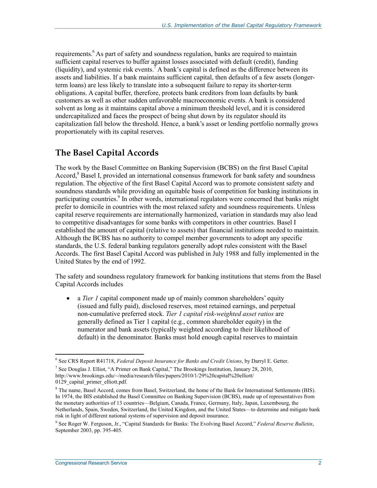requirements.<sup>6</sup> As part of safety and soundness regulation, banks are required to maintain sufficient capital reserves to buffer against losses associated with default (credit), funding (liquidity), and systemic risk events.<sup>7</sup> A bank's capital is defined as the difference between its assets and liabilities. If a bank maintains sufficient capital, then defaults of a few assets (longerterm loans) are less likely to translate into a subsequent failure to repay its shorter-term obligations. A capital buffer, therefore, protects bank creditors from loan defaults by bank customers as well as other sudden unfavorable macroeconomic events. A bank is considered solvent as long as it maintains capital above a minimum threshold level, and it is considered undercapitalized and faces the prospect of being shut down by its regulator should its capitalization fall below the threshold. Hence, a bank's asset or lending portfolio normally grows proportionately with its capital reserves.

### **The Basel Capital Accords**

The work by the Basel Committee on Banking Supervision (BCBS) on the first Basel Capital Accord,<sup>8</sup> Basel I, provided an international consensus framework for bank safety and soundness regulation. The objective of the first Basel Capital Accord was to promote consistent safety and soundness standards while providing an equitable basis of competition for banking institutions in participating countries.<sup>9</sup> In other words, international regulators were concerned that banks might prefer to domicile in countries with the most relaxed safety and soundness requirements. Unless capital reserve requirements are internationally harmonized, variation in standards may also lead to competitive disadvantages for some banks with competitors in other countries. Basel I established the amount of capital (relative to assets) that financial institutions needed to maintain. Although the BCBS has no authority to compel member governments to adopt any specific standards, the U.S. federal banking regulators generally adopt rules consistent with the Basel Accords. The first Basel Capital Accord was published in July 1988 and fully implemented in the United States by the end of 1992.

The safety and soundness regulatory framework for banking institutions that stems from the Basel Capital Accords includes

• a *Tier 1* capital component made up of mainly common shareholders' equity (issued and fully paid), disclosed reserves, most retained earnings, and perpetual non-cumulative preferred stock. *Tier 1 capital risk-weighted asset ratios* are generally defined as Tier 1 capital (e.g., common shareholder equity) in the numerator and bank assets (typically weighted according to their likelihood of default) in the denominator. Banks must hold enough capital reserves to maintain

<sup>&</sup>lt;u>.</u> 6 See CRS Report R41718, *Federal Deposit Insurance for Banks and Credit Unions*, by Darryl E. Getter.

<sup>&</sup>lt;sup>7</sup> See Douglas J. Elliot, "A Primer on Bank Capital," The Brookings Institution, January 28, 2010, http://www.brookings.edu/~/media/research/files/papers/2010/1/29%20capital%20elliott/ 0129 capital primer elliott.pdf.

<sup>&</sup>lt;sup>8</sup> The name, Basel Accord, comes from Basel, Switzerland, the home of the Bank for International Settlements (BIS). In 1974, the BIS established the Basel Committee on Banking Supervision (BCBS), made up of representatives from the monetary authorities of 13 countries—Belgium, Canada, France, Germany, Italy, Japan, Luxembourg, the Netherlands, Spain, Sweden, Switzerland, the United Kingdom, and the United States—to determine and mitigate bank risk in light of different national systems of supervision and deposit insurance.

<sup>9</sup> See Roger W. Ferguson, Jr., "Capital Standards for Banks: The Evolving Basel Accord," *Federal Reserve Bulletin*, September 2003, pp. 395-405.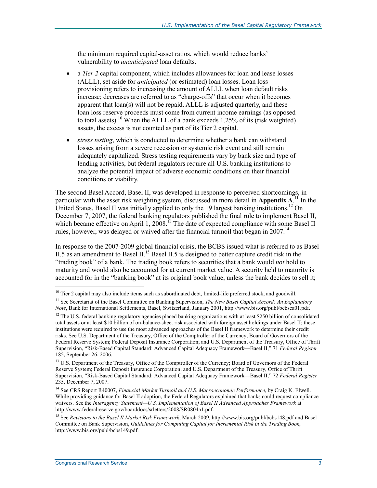the minimum required capital-asset ratios, which would reduce banks' vulnerability to *unanticipated* loan defaults.

- a *Tier 2* capital component, which includes allowances for loan and lease losses (ALLL), set aside for *anticipated* (or estimated) loan losses. Loan loss provisioning refers to increasing the amount of ALLL when loan default risks increase; decreases are referred to as "charge-offs" that occur when it becomes apparent that loan(s) will not be repaid. ALLL is adjusted quarterly, and these loan loss reserve proceeds must come from current income earnings (as opposed to total assets).<sup>10</sup> When the ALLL of a bank exceeds 1.25% of its (risk weighted) assets, the excess is not counted as part of its Tier 2 capital.
- *stress testing*, which is conducted to determine whether a bank can withstand losses arising from a severe recession or systemic risk event and still remain adequately capitalized. Stress testing requirements vary by bank size and type of lending activities, but federal regulators require all U.S. banking institutions to analyze the potential impact of adverse economic conditions on their financial conditions or viability.

The second Basel Accord, Basel II, was developed in response to perceived shortcomings, in particular with the asset risk weighting system, discussed in more detail in **Appendix A.**<sup>11</sup> In the United States, Basel II was initially applied to only the 19 largest banking institutions.<sup>12</sup> On December 7, 2007, the federal banking regulators published the final rule to implement Basel II, which became effective on April 1, 2008.<sup>13</sup> The date of expected compliance with some Basel II rules, however, was delayed or waived after the financial turmoil that began in 2007.<sup>14</sup>

In response to the 2007-2009 global financial crisis, the BCBS issued what is referred to as Basel II.5 as an amendment to Basel II.<sup>15</sup> Basel II.5 is designed to better capture credit risk in the "trading book" of a bank. The trading book refers to securities that a bank would *not* hold to maturity and would also be accounted for at current market value. A security held to maturity is accounted for in the "banking book" at its original book value, unless the bank decides to sell it;

 $10$  Tier 2 capital may also include items such as subordinated debt, limited-life preferred stock, and goodwill.

<sup>11</sup> See Secretariat of the Basel Committee on Banking Supervision, *The New Basel Capital Accord: An Explanatory Note*, Bank for International Settlements, Basel, Switzerland, January 2001, http://www.bis.org/publ/bcbsca01.pdf.

<sup>&</sup>lt;sup>12</sup> The U.S. federal banking regulatory agencies placed banking organizations with at least \$250 billion of consolidated total assets or at least \$10 billion of on-balance-sheet risk associated with foreign asset holdings under Basel II; these institutions were required to use the most advanced approaches of the Basel II framework to determine their credit risks. See U.S. Department of the Treasury, Office of the Comptroller of the Currency; Board of Governors of the Federal Reserve System; Federal Deposit Insurance Corporation; and U.S. Department of the Treasury, Office of Thrift Supervision, "Risk-Based Capital Standard: Advanced Capital Adequacy Framework—Basel II," 71 *Federal Register* 185, September 26, 2006.

<sup>&</sup>lt;sup>13</sup> U.S. Department of the Treasury, Office of the Comptroller of the Currency; Board of Governors of the Federal Reserve System; Federal Deposit Insurance Corporation; and U.S. Department of the Treasury, Office of Thrift Supervision, "Risk-Based Capital Standard: Advanced Capital Adequacy Framework—Basel II," 72 *Federal Register* 235, December 7, 2007.

<sup>14</sup> See CRS Report R40007, *Financial Market Turmoil and U.S. Macroeconomic Performance*, by Craig K. Elwell. While providing guidance for Basel II adoption, the Federal Regulators explained that banks could request compliance waivers. See the *Interagency Statement—U.S. Implementation of Basel II Advanced Approaches Framework* at http://www.federalreserve.gov/boarddocs/srletters/2008/SR0804a1.pdf.

<sup>15</sup> See *Revisions to the Basel II Market Risk Framework*, March 2009, http://www.bis.org/publ/bcbs148.pdf and Basel Committee on Bank Supervision, *Guidelines for Computing Capital for Incremental Risk in the Trading Book*, http://www.bis.org/publ/bcbs149.pdf.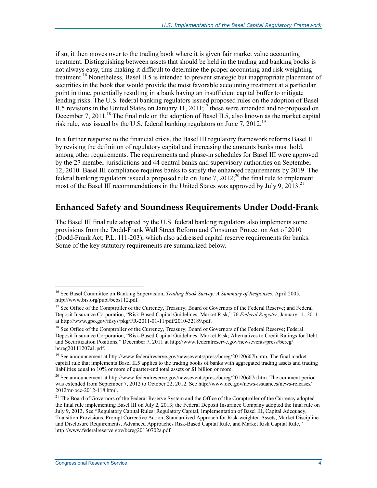if so, it then moves over to the trading book where it is given fair market value accounting treatment. Distinguishing between assets that should be held in the trading and banking books is not always easy, thus making it difficult to determine the proper accounting and risk weighting treatment.<sup>16</sup> Nonetheless, Basel II.5 is intended to prevent strategic but inappropriate placement of securities in the book that would provide the most favorable accounting treatment at a particular point in time, potentially resulting in a bank having an insufficient capital buffer to mitigate lending risks. The U.S. federal banking regulators issued proposed rules on the adoption of Basel II.5 revisions in the United States on January 11,  $2011$ ;<sup>17</sup> these were amended and re-proposed on December 7, 2011.<sup>18</sup> The final rule on the adoption of Basel II.5, also known as the market capital risk rule, was issued by the U.S. federal banking regulators on June 7, 2012.19

In a further response to the financial crisis, the Basel III regulatory framework reforms Basel II by revising the definition of regulatory capital and increasing the amounts banks must hold, among other requirements. The requirements and phase-in schedules for Basel III were approved by the 27 member jurisdictions and 44 central banks and supervisory authorities on September 12, 2010. Basel III compliance requires banks to satisfy the enhanced requirements by 2019. The federal banking regulators issued a proposed rule on June 7,  $2012$ ;<sup>20</sup> the final rule to implement most of the Basel III recommendations in the United States was approved by July 9,  $2013$ <sup>21</sup>

### **Enhanced Safety and Soundness Requirements Under Dodd-Frank**

The Basel III final rule adopted by the U.S. federal banking regulators also implements some provisions from the Dodd-Frank Wall Street Reform and Consumer Protection Act of 2010 (Dodd-Frank Act; P.L. 111-203), which also addressed capital reserve requirements for banks. Some of the key statutory requirements are summarized below.

<sup>16</sup> See Basel Committee on Banking Supervision, *Trading Book Survey: A Summary of Responses*, April 2005, http://www.bis.org/publ/bcbs112.pdf.

<sup>&</sup>lt;sup>17</sup> See Office of the Comptroller of the Currency, Treasury; Board of Governors of the Federal Reserve; and Federal Deposit Insurance Corporation, "Risk-Based Capital Guidelines: Market Risk," 76 *Federal Register*, January 11, 2011 at http://www.gpo.gov/fdsys/pkg/FR-2011-01-11/pdf/2010-32189.pdf.

<sup>&</sup>lt;sup>18</sup> See Office of the Comptroller of the Currency, Treasury; Board of Governors of the Federal Reserve; Federal Deposit Insurance Corporation, "Risk-Based Capital Guidelines: Market Risk; Alternatives to Credit Ratings for Debt and Securitization Positions," December 7, 2011 at http://www.federalreserve.gov/newsevents/press/bcreg/ bcreg20111207a1.pdf.

<sup>19</sup> See announcement at http://www.federalreserve.gov/newsevents/press/bcreg/20120607b.htm. The final market capital rule that implements Basel II.5 applies to the trading books of banks with aggregated trading assets and trading liabilities equal to 10% or more of quarter-end total assets or \$1 billion or more.

<sup>&</sup>lt;sup>20</sup> See announcement at http://www.federalreserve.gov/newsevents/press/bcreg/20120607a.htm. The comment period was extended from September 7, 2012 to October 22, 2012. See http://www.occ.gov/news-issuances/news-releases/ 2012/nr-occ-2012-118.html.

<sup>&</sup>lt;sup>21</sup> The Board of Governors of the Federal Reserve System and the Office of the Comptroller of the Currency adopted the final rule implementing Basel III on July 2, 2013; the Federal Deposit Insurance Company adopted the final rule on July 9, 2013. See "Regulatory Capital Rules: Regulatory Capital, Implementation of Basel III, Capital Adequacy, Transition Provisions, Prompt Corrective Action, Standardized Approach for Risk-weighted Assets, Market Discipline and Disclosure Requirements, Advanced Approaches Risk-Based Capital Rule, and Market Risk Capital Rule," http://www.federalreserve.gov/bcreg20130702a.pdf.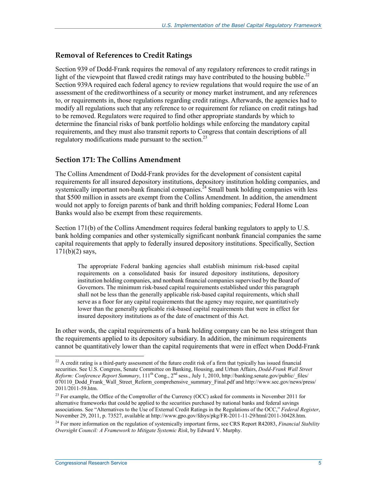#### **Removal of References to Credit Ratings**

Section 939 of Dodd-Frank requires the removal of any regulatory references to credit ratings in light of the viewpoint that flawed credit ratings may have contributed to the housing bubble.<sup>22</sup> Section 939A required each federal agency to review regulations that would require the use of an assessment of the creditworthiness of a security or money market instrument, and any references to, or requirements in, those regulations regarding credit ratings. Afterwards, the agencies had to modify all regulations such that any reference to or requirement for reliance on credit ratings had to be removed. Regulators were required to find other appropriate standards by which to determine the financial risks of bank portfolio holdings while enforcing the mandatory capital requirements, and they must also transmit reports to Congress that contain descriptions of all regulatory modifications made pursuant to the section.<sup>23</sup>

#### **Section 171: The Collins Amendment**

The Collins Amendment of Dodd-Frank provides for the development of consistent capital requirements for all insured depository institutions, depository institution holding companies, and systemically important non-bank financial companies.<sup>24</sup> Small bank holding companies with less that \$500 million in assets are exempt from the Collins Amendment. In addition, the amendment would not apply to foreign parents of bank and thrift holding companies; Federal Home Loan Banks would also be exempt from these requirements.

Section 171(b) of the Collins Amendment requires federal banking regulators to apply to U.S. bank holding companies and other systemically significant nonbank financial companies the same capital requirements that apply to federally insured depository institutions. Specifically, Section 171(b)(2) says,

The appropriate Federal banking agencies shall establish minimum risk-based capital requirements on a consolidated basis for insured depository institutions, depository institution holding companies, and nonbank financial companies supervised by the Board of Governors. The minimum risk-based capital requirements established under this paragraph shall not be less than the generally applicable risk-based capital requirements, which shall serve as a floor for any capital requirements that the agency may require, nor quantitatively lower than the generally applicable risk-based capital requirements that were in effect for insured depository institutions as of the date of enactment of this Act.

In other words, the capital requirements of a bank holding company can be no less stringent than the requirements applied to its depository subsidiary. In addition, the minimum requirements cannot be quantitatively lower than the capital requirements that were in effect when Dodd-Frank

 $^{22}$  A credit rating is a third-party assessment of the future credit risk of a firm that typically has issued financial securities. See U.S. Congress, Senate Committee on Banking, Housing, and Urban Affairs, *Dodd-Frank Wall Street Reform: Conference Report Summary*, 111th Cong., 2nd sess., July 1, 2010, http://banking.senate.gov/public/\_files/ 070110\_Dodd\_Frank\_Wall\_Street\_Reform\_comprehensive\_summary\_Final.pdf and http://www.sec.gov/news/press/  $2011/2011-59$ .htm.

<sup>&</sup>lt;sup>23</sup> For example, the Office of the Comptroller of the Currency (OCC) asked for comments in November 2011 for alternative frameworks that could be applied to the securities purchased by national banks and federal savings associations. See "Alternatives to the Use of External Credit Ratings in the Regulations of the OCC," *Federal Register*, November 29, 2011, p. 73527, available at http://www.gpo.gov/fdsys/pkg/FR-2011-11-29/html/2011-30428.htm.

<sup>24</sup> For more information on the regulation of systemically important firms, see CRS Report R42083, *Financial Stability Oversight Council: A Framework to Mitigate Systemic Risk*, by Edward V. Murphy.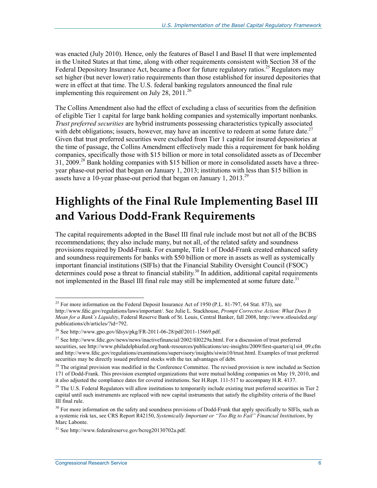was enacted (July 2010). Hence, only the features of Basel I and Basel II that were implemented in the United States at that time, along with other requirements consistent with Section 38 of the Federal Depository Insurance Act, became a floor for future regulatory ratios.<sup>25</sup> Regulators may set higher (but never lower) ratio requirements than those established for insured depositories that were in effect at that time. The U.S. federal banking regulators announced the final rule implementing this requirement on July 28,  $2011^{26}$ 

The Collins Amendment also had the effect of excluding a class of securities from the definition of eligible Tier 1 capital for large bank holding companies and systemically important nonbanks. *Trust preferred securities* are hybrid instruments possessing characteristics typically associated with debt obligations; issuers, however, may have an incentive to redeem at some future date.<sup>27</sup> Given that trust preferred securities were excluded from Tier 1 capital for insured depositories at the time of passage, the Collins Amendment effectively made this a requirement for bank holding companies, specifically those with \$15 billion or more in total consolidated assets as of December 31, 2009.<sup>28</sup> Bank holding companies with \$15 billion or more in consolidated assets have a threeyear phase-out period that began on January 1, 2013; institutions with less than \$15 billion in assets have a 10-year phase-out period that began on January 1, 2013.<sup>29</sup>

## **Highlights of the Final Rule Implementing Basel III and Various Dodd-Frank Requirements**

The capital requirements adopted in the Basel III final rule include most but not all of the BCBS recommendations; they also include many, but not all, of the related safety and soundness provisions required by Dodd-Frank. For example, Title 1 of Dodd-Frank created enhanced safety and soundness requirements for banks with \$50 billion or more in assets as well as systemically important financial institutions (SIFIs) that the Financial Stability Oversight Council (FSOC) determines could pose a threat to financial stability.<sup>30</sup> In addition, additional capital requirements not implemented in the Basel III final rule may still be implemented at some future date.<sup>31</sup>

<sup>&</sup>lt;sup>25</sup> For more information on the Federal Deposit Insurance Act of 1950 (P.L. 81-797, 64 Stat. 873), see

http://www.fdic.gov/regulations/laws/important/. See Julie L. Stackhouse, *Prompt Corrective Action: What Does It Mean for a Bank's Liquidity*, Federal Reserve Bank of St. Louis, Central Banker, fall 2008, http://www.stlouisfed.org/ publications/cb/articles/?id=792.

<sup>26</sup> See http://www.gpo.gov/fdsys/pkg/FR-2011-06-28/pdf/2011-15669.pdf.

<sup>27</sup> See http://www.fdic.gov/news/news/inactivefinancial/2002/fil0229a.html. For a discussion of trust preferred securities, see http://www.philadelphiafed.org/bank-resources/publications/src-insights/2009/first-quarter/q1si4\_09.cfm and http://www.fdic.gov/regulations/examinations/supervisory/insights/siwin10/trust.html. Examples of trust preferred securities may be directly issued preferred stocks with the tax advantages of debt.

 $^{28}$  The original provision was modified in the Conference Committee. The revised provision is now included as Section 171 of Dodd-Frank. This provision exempted organizations that were mutual holding companies on May 19, 2010, and it also adjusted the compliance dates for covered institutions. See H.Rept. 111-517 to accompany H.R. 4137.

<sup>&</sup>lt;sup>29</sup> The U.S. Federal Regulators will allow institutions to temporarily include existing trust preferred securities in Tier 2 capital until such instruments are replaced with new capital instruments that satisfy the eligibility criteria of the Basel III final rule.

 $30$  For more information on the safety and soundness provisions of Dodd-Frank that apply specifically to SIFIs, such as a systemic risk tax, see CRS Report R42150, *Systemically Important or "Too Big to Fail" Financial Institutions*, by Marc Labonte.

<sup>31</sup> See http://www.federalreserve.gov/bcreg20130702a.pdf.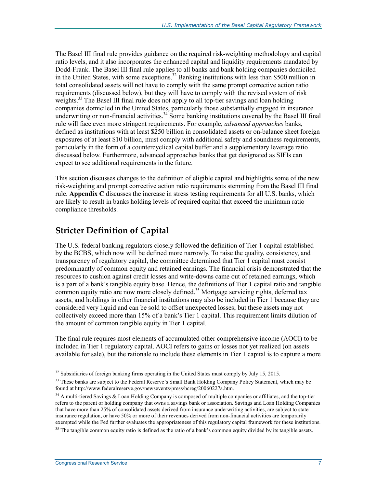The Basel III final rule provides guidance on the required risk-weighting methodology and capital ratio levels, and it also incorporates the enhanced capital and liquidity requirements mandated by Dodd-Frank. The Basel III final rule applies to all banks and bank holding companies domiciled in the United States, with some exceptions.<sup>32</sup> Banking institutions with less than \$500 million in total consolidated assets will not have to comply with the same prompt corrective action ratio requirements (discussed below), but they will have to comply with the revised system of risk weights.<sup>33</sup> The Basel III final rule does not apply to all top-tier sayings and loan holding companies domiciled in the United States, particularly those substantially engaged in insurance underwriting or non-financial activities.<sup>34</sup> Some banking institutions covered by the Basel III final rule will face even more stringent requirements. For example, *advanced approaches* banks, defined as institutions with at least \$250 billion in consolidated assets or on-balance sheet foreign exposures of at least \$10 billion, must comply with additional safety and soundness requirements, particularly in the form of a countercyclical capital buffer and a supplementary leverage ratio discussed below. Furthermore, advanced approaches banks that get designated as SIFIs can expect to see additional requirements in the future.

This section discusses changes to the definition of eligible capital and highlights some of the new risk-weighting and prompt corrective action ratio requirements stemming from the Basel III final rule. **Appendix C** discusses the increase in stress testing requirements for all U.S. banks, which are likely to result in banks holding levels of required capital that exceed the minimum ratio compliance thresholds.

### **Stricter Definition of Capital**

The U.S. federal banking regulators closely followed the definition of Tier 1 capital established by the BCBS, which now will be defined more narrowly. To raise the quality, consistency, and transparency of regulatory capital, the committee determined that Tier 1 capital must consist predominantly of common equity and retained earnings. The financial crisis demonstrated that the resources to cushion against credit losses and write-downs came out of retained earnings, which is a part of a bank's tangible equity base. Hence, the definitions of Tier 1 capital ratio and tangible common equity ratio are now more closely defined.<sup>35</sup> Mortgage servicing rights, deferred tax assets, and holdings in other financial institutions may also be included in Tier 1 because they are considered very liquid and can be sold to offset unexpected losses; but these assets may not collectively exceed more than 15% of a bank's Tier 1 capital. This requirement limits dilution of the amount of common tangible equity in Tier 1 capital.

The final rule requires most elements of accumulated other comprehensive income (AOCI) to be included in Tier 1 regulatory capital. AOCI refers to gains or losses not yet realized (on assets available for sale), but the rationale to include these elements in Tier 1 capital is to capture a more

 $32$  Subsidiaries of foreign banking firms operating in the United States must comply by July 15, 2015.

<sup>&</sup>lt;sup>33</sup> These banks are subject to the Federal Reserve's Small Bank Holding Company Policy Statement, which may be found at http://www.federalreserve.gov/newsevents/press/bcreg/20060227a.htm.

<sup>&</sup>lt;sup>34</sup> A multi-tiered Savings & Loan Holding Company is composed of multiple companies or affiliates, and the top-tier refers to the parent or holding company that owns a savings bank or association. Savings and Loan Holding Companies that have more than 25% of consolidated assets derived from insurance underwriting activities, are subject to state insurance regulation, or have 50% or more of their revenues derived from non-financial activities are temporarily exempted while the Fed further evaluates the appropriateness of this regulatory capital framework for these institutions.

 $35$  The tangible common equity ratio is defined as the ratio of a bank's common equity divided by its tangible assets.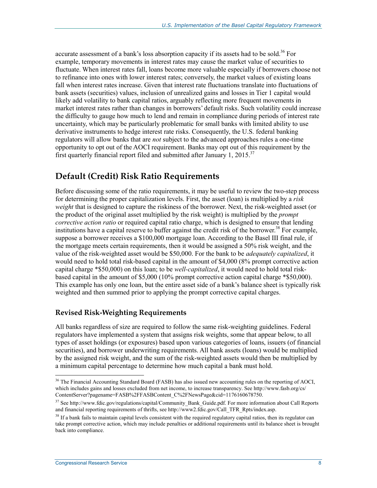accurate assessment of a bank's loss absorption capacity if its assets had to be sold.<sup>36</sup> For example, temporary movements in interest rates may cause the market value of securities to fluctuate. When interest rates fall, loans become more valuable especially if borrowers choose not to refinance into ones with lower interest rates; conversely, the market values of existing loans fall when interest rates increase. Given that interest rate fluctuations translate into fluctuations of bank assets (securities) values, inclusion of unrealized gains and losses in Tier 1 capital would likely add volatility to bank capital ratios, arguably reflecting more frequent movements in market interest rates rather than changes in borrowers' default risks. Such volatility could increase the difficulty to gauge how much to lend and remain in compliance during periods of interest rate uncertainty, which may be particularly problematic for small banks with limited ability to use derivative instruments to hedge interest rate risks. Consequently, the U.S. federal banking regulators will allow banks that are *not* subject to the advanced approaches rules a one-time opportunity to opt out of the AOCI requirement. Banks may opt out of this requirement by the first quarterly financial report filed and submitted after January 1,  $2015$ <sup>37</sup>

### **Default (Credit) Risk Ratio Requirements**

Before discussing some of the ratio requirements, it may be useful to review the two-step process for determining the proper capitalization levels. First, the asset (loan) is multiplied by a *risk weight* that is designed to capture the riskiness of the borrower. Next, the risk-weighted asset (or the product of the original asset multiplied by the risk weight) is multiplied by the *prompt corrective action ratio* or required capital ratio charge, which is designed to ensure that lending institutions have a capital reserve to buffer against the credit risk of the borrower.<sup>38</sup> For example, suppose a borrower receives a \$100,000 mortgage loan. According to the Basel III final rule, if the mortgage meets certain requirements, then it would be assigned a 50% risk weight, and the value of the risk-weighted asset would be \$50,000. For the bank to be *adequately capitalized*, it would need to hold total risk-based capital in the amount of \$4,000 (8% prompt corrective action capital charge \*\$50,000) on this loan; to be *well-capitalized*, it would need to hold total riskbased capital in the amount of \$5,000 (10% prompt corrective action capital charge \*\$50,000). This example has only one loan, but the entire asset side of a bank's balance sheet is typically risk weighted and then summed prior to applying the prompt corrective capital charges.

#### **Revised Risk-Weighting Requirements**

All banks regardless of size are required to follow the same risk-weighting guidelines. Federal regulators have implemented a system that assigns risk weights, some that appear below, to all types of asset holdings (or exposures) based upon various categories of loans, issuers (of financial securities), and borrower underwriting requirements. All bank assets (loans) would be multiplied by the assigned risk weight, and the sum of the risk-weighted assets would then be multiplied by a minimum capital percentage to determine how much capital a bank must hold.

<sup>&</sup>lt;sup>36</sup> The Financial Accounting Standard Board (FASB) has also issued new accounting rules on the reporting of AOCI, which includes gains and losses excluded from net income, to increase transparency. See http://www.fasb.org/cs/ ContentServer?pagename=FASB%2FFASBContent\_C%2FNewsPage&cid=1176160678750.

<sup>&</sup>lt;sup>37</sup> See http://www.fdic.gov/regulations/capital/Community\_Bank\_Guide.pdf. For more information about Call Reports and financial reporting requirements of thrifts, see http://www2.fdic.gov/Call\_TFR\_Rpts/index.asp.

<sup>&</sup>lt;sup>38</sup> If a bank fails to maintain capital levels consistent with the required regulatory capital ratios, then its regulator can take prompt corrective action, which may include penalties or additional requirements until its balance sheet is brought back into compliance.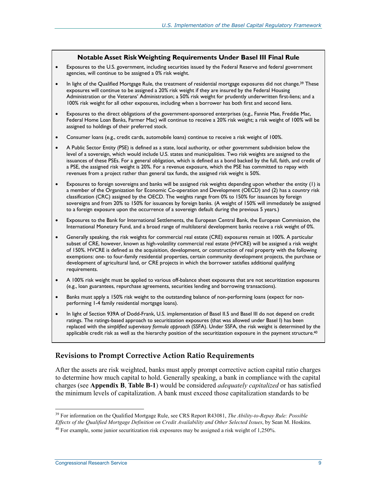#### **Notable Asset Risk Weighting Requirements Under Basel III Final Rule**

- Exposures to the U.S. government, including securities issued by the Federal Reserve and federal government agencies, will continue to be assigned a 0% risk weight.
- In light of the Qualified Mortgage Rule, the treatment of residential mortgage exposures did not change.<sup>39</sup> These exposures will continue to be assigned a 20% risk weight if they are insured by the Federal Housing Administration or the Veterans' Administration; a 50% risk weight for prudently underwritten first-liens; and a 100% risk weight for all other exposures, including when a borrower has both first and second liens.
- Exposures to the direct obligations of the government-sponsored enterprises (e.g., Fannie Mae, Freddie Mac, Federal Home Loan Banks, Farmer Mac) will continue to receive a 20% risk weight; a risk weight of 100% will be assigned to holdings of their preferred stock.
- Consumer loans (e.g., credit cards, automobile loans) continue to receive a risk weight of 100%.
- A Public Sector Entity (PSE) is defined as a state, local authority, or other government subdivision below the level of a sovereign, which would include U.S. states and municipalities. Two risk weights are assigned to the issuances of these PSEs. For a general obligation, which is defined as a bond backed by the full, faith, and credit of a PSE, the assigned risk weight is 20%. For a revenue exposure, which the PSE has committed to repay with revenues from a project rather than general tax funds, the assigned risk weight is 50%.
- Exposures to foreign sovereigns and banks will be assigned risk weights depending upon whether the entity (1) is a member of the Organization for Economic Co-operation and Development (OECD) and (2) has a country risk classification (CRC) assigned by the OECD. The weights range from 0% to 150% for issuances by foreign sovereigns and from 20% to 150% for issuances by foreign banks. (A weight of 150% will immediately be assigned to a foreign exposure upon the occurrence of a sovereign default during the previous 5 years.)
- Exposures to the Bank for International Settlements, the European Central Bank, the European Commission, the International Monetary Fund, and a broad range of multilateral development banks receive a risk weight of 0%.
- Generally speaking, the risk weights for commercial real estate (CRE) exposures remain at 100%. A particular subset of CRE, however, known as high-volatility commercial real estate (HVCRE) will be assigned a risk weight of 150%. HVCRE is defined as the acquisition, development, or construction of real property with the following exemptions: one- to four-family residential properties, certain community development projects, the purchase or development of agricultural land, or CRE projects in which the borrower satisfies additional qualifying requirements.
- A 100% risk weight must be applied to various off-balance sheet exposures that are not securitization exposures (e.g., loan guarantees, repurchase agreements, securities lending and borrowing transactions).
- Banks must apply a 150% risk weight to the outstanding balance of non-performing loans (expect for nonperforming 1-4 family residential mortgage loans).
- In light of Section 939A of Dodd-Frank, U.S. implementation of Basel II.5 and Basel III do not depend on credit ratings. The ratings-based approach to securitization exposures (that was allowed under Basel I) has been replaced with the *simplified supervisory formula approach* (SSFA). Under SSFA, the risk weight is determined by the applicable credit risk as well as the hierarchy position of the securitization exposure in the payment structure.<sup>40</sup>

#### **Revisions to Prompt Corrective Action Ratio Requirements**

After the assets are risk weighted, banks must apply prompt corrective action capital ratio charges to determine how much capital to hold. Generally speaking, a bank in compliance with the capital charges (see **Appendix B**, **Table B-1**) would be considered *adequately capitalized* or has satisfied the minimum levels of capitalization. A bank must exceed those capitalization standards to be

<sup>1</sup> 39 For information on the Qualified Mortgage Rule, see CRS Report R43081, *The Ability-to-Repay Rule: Possible Effects of the Qualified Mortgage Definition on Credit Availability and Other Selected Issues*, by Sean M. Hoskins.

 $40$  For example, some junior securitization risk exposures may be assigned a risk weight of 1,250%.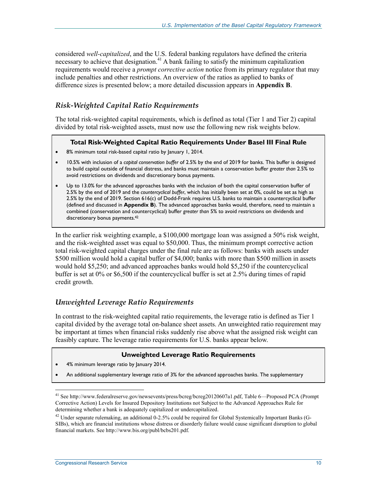considered *well-capitalized*, and the U.S. federal banking regulators have defined the criteria necessary to achieve that designation.<sup>41</sup> A bank failing to satisfy the minimum capitalization requirements would receive a *prompt corrective action* notice from its primary regulator that may include penalties and other restrictions. An overview of the ratios as applied to banks of difference sizes is presented below; a more detailed discussion appears in **Appendix B**.

#### *Risk-Weighted Capital Ratio Requirements*

The total risk-weighted capital requirements, which is defined as total (Tier 1 and Tier 2) capital divided by total risk-weighted assets, must now use the following new risk weights below.

#### **Total Risk-Weighted Capital Ratio Requirements Under Basel III Final Rule**

- 8% minimum total risk-based capital ratio by January 1, 2014.
- 10.5% with inclusion of a *capital conservation buffer* of 2.5% by the end of 2019 for banks. This buffer is designed to build capital outside of financial distress, and banks must maintain a conservation buffer *greater than* 2.5% to avoid restrictions on dividends and discretionary bonus payments.
- Up to 13.0% for the advanced approaches banks with the inclusion of both the capital conservation buffer of 2.5% by the end of 2019 and the *countercyclical buffer*, which has initially been set at 0%, could be set as high as 2.5% by the end of 2019. Section 616(c) of Dodd-Frank requires U.S. banks to maintain a countercyclical buffer (defined and discussed in **Appendix B**). The advanced approaches banks would, therefore, need to maintain a combined (conservation and countercyclical) buffer *greater than* 5% to avoid restrictions on dividends and discretionary bonus payments.<sup>42</sup>

In the earlier risk weighting example, a \$100,000 mortgage loan was assigned a 50% risk weight, and the risk-weighted asset was equal to \$50,000. Thus, the minimum prompt corrective action total risk-weighted capital charges under the final rule are as follows: banks with assets under \$500 million would hold a capital buffer of \$4,000; banks with more than \$500 million in assets would hold \$5,250; and advanced approaches banks would hold \$5,250 if the countercyclical buffer is set at 0% or \$6,500 if the countercyclical buffer is set at 2.5% during times of rapid credit growth.

#### *Unweighted Leverage Ratio Requirements*

In contrast to the risk-weighted capital ratio requirements, the leverage ratio is defined as Tier 1 capital divided by the average total on-balance sheet assets. An unweighted ratio requirement may be important at times when financial risks suddenly rise above what the assigned risk weight can feasibly capture. The leverage ratio requirements for U.S. banks appear below.

#### **Unweighted Leverage Ratio Requirements**

- 4% minimum leverage ratio by January 2014.
- An additional supplementary leverage ratio of 3% for the advanced approaches banks. The supplementary

<sup>1</sup> 41 See http://www.federalreserve.gov/newsevents/press/bcreg/bcreg20120607a1.pdf, Table 6—Proposed PCA (Prompt Corrective Action) Levels for Insured Depository Institutions not Subject to the Advanced Approaches Rule for determining whether a bank is adequately capitalized or undercapitalized.

<sup>&</sup>lt;sup>42</sup> Under separate rulemaking, an additional 0-2.5% could be required for Global Systemically Important Banks (G-SIBs), which are financial institutions whose distress or disorderly failure would cause significant disruption to global financial markets. See http://www.bis.org/publ/bcbs201.pdf.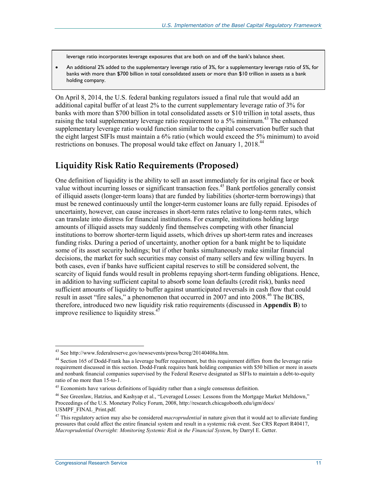leverage ratio incorporates leverage exposures that are both on and off the bank's balance sheet.

• An additional 2% added to the supplementary leverage ratio of 3%, for a supplementary leverage ratio of 5%, for banks with more than \$700 billion in total consolidated assets or more than \$10 trillion in assets as a bank holding company.

On April 8, 2014, the U.S. federal banking regulators issued a final rule that would add an additional capital buffer of at least 2% to the current supplementary leverage ratio of 3% for banks with more than \$700 billion in total consolidated assets or \$10 trillion in total assets, thus raising the total supplementary leverage ratio requirement to a 5% minimum.<sup>43</sup> The enhanced supplementary leverage ratio would function similar to the capital conservation buffer such that the eight largest SIFIs must maintain a 6% ratio (which would exceed the 5% minimum) to avoid restrictions on bonuses. The proposal would take effect on January 1, 2018.<sup>44</sup>

### **Liquidity Risk Ratio Requirements (Proposed)**

One definition of liquidity is the ability to sell an asset immediately for its original face or book value without incurring losses or significant transaction fees.<sup>45</sup> Bank portfolios generally consist of illiquid assets (longer-term loans) that are funded by liabilities (shorter-term borrowings) that must be renewed continuously until the longer-term customer loans are fully repaid. Episodes of uncertainty, however, can cause increases in short-term rates relative to long-term rates, which can translate into distress for financial institutions. For example, institutions holding large amounts of illiquid assets may suddenly find themselves competing with other financial institutions to borrow shorter-term liquid assets, which drives up short-term rates and increases funding risks. During a period of uncertainty, another option for a bank might be to liquidate some of its asset security holdings; but if other banks simultaneously make similar financial decisions, the market for such securities may consist of many sellers and few willing buyers. In both cases, even if banks have sufficient capital reserves to still be considered solvent, the scarcity of liquid funds would result in problems repaying short-term funding obligations. Hence, in addition to having sufficient capital to absorb some loan defaults (credit risk), banks need sufficient amounts of liquidity to buffer against unanticipated reversals in cash flow that could result in asset "fire sales," a phenomenon that occurred in 2007 and into 2008.<sup>46</sup> The BCBS, therefore, introduced two new liquidity risk ratio requirements (discussed in **Appendix B**) to improve resilience to liquidity stress. $47$ 

<sup>&</sup>lt;sup>43</sup> See http://www.federalreserve.gov/newsevents/press/bcreg/20140408a.htm.

<sup>&</sup>lt;sup>44</sup> Section 165 of Dodd-Frank has a leverage buffer requirement, but this requirement differs from the leverage ratio requirement discussed in this section. Dodd-Frank requires bank holding companies with \$50 billion or more in assets and nonbank financial companies supervised by the Federal Reserve designated as SIFIs to maintain a debt-to-equity ratio of no more than 15-to-1.

 $45$  Economists have various definitions of liquidity rather than a single consensus definition.

<sup>46</sup> See Greenlaw, Hatzius, and Kashyap et al., "Leveraged Losses: Lessons from the Mortgage Market Meltdown," Proceedings of the U.S. Monetary Policy Forum, 2008, http://research.chicagobooth.edu/igm/docs/ USMPF\_FINAL\_Print.pdf.

<sup>47</sup> This regulatory action may also be considered *macroprudential* in nature given that it would act to alleviate funding pressures that could affect the entire financial system and result in a systemic risk event. See CRS Report R40417, *Macroprudential Oversight: Monitoring Systemic Risk in the Financial System*, by Darryl E. Getter.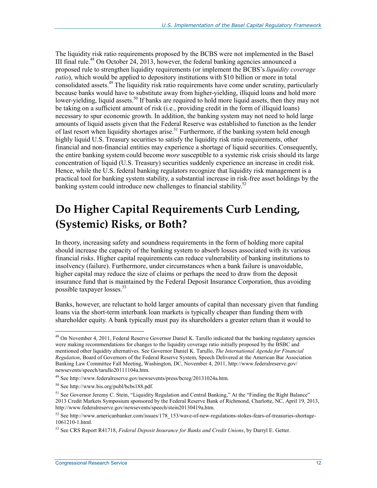The liquidity risk ratio requirements proposed by the BCBS were not implemented in the Basel III final rule.48 On October 24, 2013, however, the federal banking agencies announced a proposed rule to strengthen liquidity requirements (or implement the BCBS's *liquidity coverage ratio*), which would be applied to depository institutions with \$10 billion or more in total consolidated assets.<sup>49</sup> The liquidity risk ratio requirements have come under scrutiny, particularly because banks would have to substitute away from higher-yielding, illiquid loans and hold more lower-yielding, liquid assets.<sup>50</sup> If banks are required to hold more liquid assets, then they may not be taking on a sufficient amount of risk (i.e., providing credit in the form of illiquid loans) necessary to spur economic growth. In addition, the banking system may not need to hold large amounts of liquid assets given that the Federal Reserve was established to function as the lender of last resort when liquidity shortages arise.<sup>51</sup> Furthermore, if the banking system held enough highly liquid U.S. Treasury securities to satisfy the liquidity risk ratio requirements, other financial and non-financial entities may experience a shortage of liquid securities. Consequently, the entire banking system could become *more* susceptible to a systemic risk crisis should its large concentration of liquid (U.S. Treasury) securities suddenly experience an increase in credit risk. Hence, while the U.S. federal banking regulators recognize that liquidity risk management is a practical tool for banking system stability, a substantial increase in risk-free asset holdings by the banking system could introduce new challenges to financial stability.<sup>52</sup>

## **Do Higher Capital Requirements Curb Lending, (Systemic) Risks, or Both?**

In theory, increasing safety and soundness requirements in the form of holding more capital should increase the capacity of the banking system to absorb losses associated with its various financial risks. Higher capital requirements can reduce vulnerability of banking institutions to insolvency (failure). Furthermore, under circumstances when a bank failure is unavoidable, higher capital may reduce the size of claims or perhaps the need to draw from the deposit insurance fund that is maintained by the Federal Deposit Insurance Corporation, thus avoiding possible taxpayer losses.<sup>53</sup>

Banks, however, are reluctant to hold larger amounts of capital than necessary given that funding loans via the short-term interbank loan markets is typically cheaper than funding them with shareholder equity. A bank typically must pay its shareholders a greater return than it would to

<sup>&</sup>lt;sup>48</sup> On November 4, 2011, Federal Reserve Governor Daniel K. Tarullo indicated that the banking regulatory agencies were making recommendations for changes to the liquidity coverage ratio initially proposed by the BSBC and mentioned other liquidity alternatives. See Governor Daniel K. Tarullo, *The International Agenda for Financial Regulation*, Board of Governors of the Federal Reserve System, Speech Delivered at the American Bar Association Banking Law Committee Fall Meeting, Washington, DC, November 4, 2011, http://www.federalreserve.gov/ newsevents/speech/tarullo20111104a.htm.

<sup>49</sup> See http://www.federalreserve.gov/newsevents/press/bcreg/20131024a.htm.

<sup>50</sup> See http://www.bis.org/publ/bcbs188.pdf.

<sup>&</sup>lt;sup>51</sup> See Governor Jeremy C. Stein, "Liquidity Regulation and Central Banking," At the "Finding the Right Balance" 2013 Credit Markets Symposium sponsored by the Federal Reserve Bank of Richmond, Charlotte, NC, April 19, 2013, http://www.federalreserve.gov/newsevents/speech/stein20130419a.htm.

<sup>52</sup> See http://www.americanbanker.com/issues/178\_153/wave-of-new-regulations-stokes-fears-of-treasuries-shortage-1061210-1.html.

<sup>53</sup> See CRS Report R41718, *Federal Deposit Insurance for Banks and Credit Unions*, by Darryl E. Getter.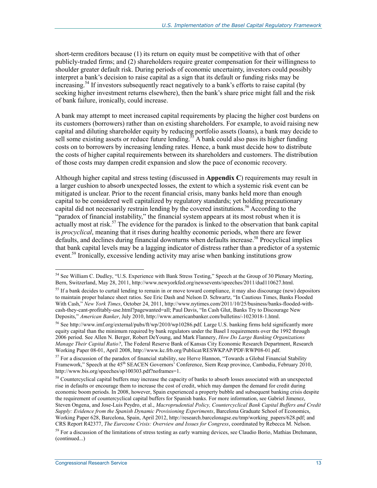short-term creditors because (1) its return on equity must be competitive with that of other publicly-traded firms; and (2) shareholders require greater compensation for their willingness to shoulder greater default risk. During periods of economic uncertainty, investors could possibly interpret a bank's decision to raise capital as a sign that its default or funding risks may be increasing.<sup>54</sup> If investors subsequently react negatively to a bank's efforts to raise capital (by seeking higher investment returns elsewhere), then the bank's share price might fall and the risk of bank failure, ironically, could increase.

A bank may attempt to meet increased capital requirements by placing the higher cost burdens on its customers (borrowers) rather than on existing shareholders. For example, to avoid raising new capital and diluting shareholder equity by reducing portfolio assets (loans), a bank may decide to sell some existing assets or reduce future lending.<sup>55</sup> A bank could also pass its higher funding costs on to borrowers by increasing lending rates. Hence, a bank must decide how to distribute the costs of higher capital requirements between its shareholders and customers. The distribution of those costs may dampen credit expansion and slow the pace of economic recovery.

Although higher capital and stress testing (discussed in **Appendix C**) requirements may result in a larger cushion to absorb unexpected losses, the extent to which a systemic risk event can be mitigated is unclear. Prior to the recent financial crisis, many banks held more than enough capital to be considered well capitalized by regulatory standards; yet holding precautionary capital did not necessarily restrain lending by the covered institutions.<sup>56</sup> According to the "paradox of financial instability," the financial system appears at its most robust when it is actually most at risk.<sup>57</sup> The evidence for the paradox is linked to the observation that bank capital is *procyclical*, meaning that it rises during healthy economic periods, when there are fewer defaults, and declines during financial downturns when defaults increase.<sup>58</sup> Procyclical implies that bank capital levels may be a lagging indicator of distress rather than a predictor of a systemic event.<sup>59</sup> Ironically, excessive lending activity may arise when banking institutions grow

<sup>&</sup>lt;sup>54</sup> See William C. Dudley, "U.S. Experience with Bank Stress Testing," Speech at the Group of 30 Plenary Meeting, Bern, Switzerland, May 28, 2011, http://www.newyorkfed.org/newsevents/speeches/2011/dud110627.html.

<sup>&</sup>lt;sup>55</sup> If a bank decides to curtail lending to remain in or move toward compliance, it may also discourage (new) depositors to maintain proper balance sheet ratios. See Eric Dash and Nelson D. Schwartz, "In Cautious Times, Banks Flooded With Cash," *New York Times*, October 24, 2011, http://www.nytimes.com/2011/10/25/business/banks-flooded-withcash-they-cant-profitably-use.html?pagewanted=all; Paul Davis, "In Cash Glut, Banks Try to Discourage New Deposits," *American Banker*, July 2010, http://www.americanbanker.com/bulletins/-1023018-1.html.

<sup>56</sup> See http://www.imf.org/external/pubs/ft/wp/2010/wp10286.pdf. Large U.S. banking firms held significantly more equity capital than the minimum required by bank regulators under the Basel I requirements over the 1992 through 2006 period. See Allen N. Berger, Robert DeYoung, and Mark Flannery, *How Do Large Banking Organizations Manage Their Capital Ratio?*, The Federal Reserve Bank of Kansas City Economic Research Department, Research Working Paper 08-01, April 2008, http://www.kc.frb.org/Publicat/RESWKPAP/PDF/RWP08-01.pdf.

 $57$  For a discussion of the paradox of financial stability, see Herve Hannon, "Towards a Global Financial Stability Framework," Speech at the 45<sup>th</sup> SEACEN Governors' Conference, Siem Reap province, Cambodia, February 2010, http://www.bis.org/speeches/sp100303.pdf?noframes=1.

<sup>&</sup>lt;sup>58</sup> Countercyclical capital buffers may increase the capacity of banks to absorb losses associated with an unexpected rise in defaults or encourage them to increase the cost of credit, which may dampen the demand for credit during economic boom periods. In 2008, however, Spain experienced a property bubble and subsequent banking crisis despite the requirement of countercyclical capital buffers for Spanish banks. For more information, see Gabriel Jimenez, Steven Ongena, and Jose-Luis Peydro, et al., *Macroprudential Policy, Countercyclical Bank Capital Buffers and Credit Supply: Evidence from the Spanish Dynamic Provisioning Experiments*, Barcelona Graduate School of Economics, Working Paper 628, Barcelona, Spain, April 2012, http://research.barcelonagse.eu/tmp/working\_papers/628.pdf; and CRS Report R42377, *The Eurozone Crisis: Overview and Issues for Congress*, coordinated by Rebecca M. Nelson.

<sup>&</sup>lt;sup>59</sup> For a discussion of the limitations of stress testing as early warning devices, see Claudio Borio, Mathias Drehmann, (continued...)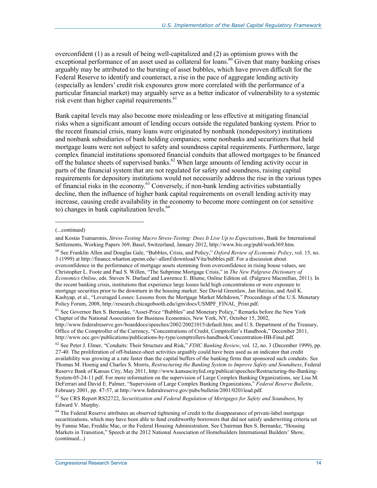overconfident (1) as a result of being well-capitalized and (2) as optimism grows with the exceptional performance of an asset used as collateral for loans.<sup>60</sup> Given that many banking crises arguably may be attributed to the bursting of asset bubbles, which have proven difficult for the Federal Reserve to identify and counteract, a rise in the pace of aggregate lending activity (especially as lenders' credit risk exposures grow more correlated with the performance of a particular financial market) may arguably serve as a better indicator of vulnerability to a systemic risk event than higher capital requirements. $61$ 

Bank capital levels may also become more misleading or less effective at mitigating financial risks when a significant amount of lending occurs outside the regulated banking system. Prior to the recent financial crisis, many loans were originated by nonbank (nondepository) institutions and nonbank subsidiaries of bank holding companies; some nonbanks and securitizers that held mortgage loans were not subject to safety and soundness capital requirements. Furthermore, large complex financial institutions sponsored financial conduits that allowed mortgages to be financed off the balance sheets of supervised banks.<sup>62</sup> When large amounts of lending activity occur in parts of the financial system that are not regulated for safety and soundness, raising capital requirements for depository institutions would not necessarily address the rise in the various types of financial risks in the economy.63 Conversely, if non-bank lending activities substantially decline, then the influence of higher bank capital requirements on overall lending activity may increase, causing credit availability in the economy to become more contingent on (or sensitive to) changes in bank capitalization levels. $64$ 

 $\overline{\phantom{a}}$ 

60 See Franklin Allen and Douglas Gale, "Bubbles, Crisis, and Policy," *Oxford Review of Economic Policy*, vol. 15, no. 3 (1999) at http://finance.wharton.upenn.edu/~allenf/download/Vita/bubbles.pdf. For a discussion about overconfidence in the performance of mortgage assets stemming from overconfidence in rising house values, see Christopher L. Foote and Paul S. Willen, "The Subprime Mortgage Crisis," in *The New Palgrave Dictionary of Economics Online*, eds. Steven N. Durlauf and Lawrence E. Blume, Online Edition ed. (Palgrave Macmillan, 2011). In the recent banking crisis, institutions that experience large losses held high concentrations or were exposure to mortgage securities prior to the downturn in the housing market. See David Greenlaw, Jan Hatzius, and Anil K. Kashyap, et al., "Leveraged Losses: Lessons from the Mortgage Market Meltdown," Proceedings of the U.S. Monetary Policy Forum, 2008, http://research.chicagobooth.edu/igm/docs/USMPF\_FINAL\_Print.pdf.

<sup>(...</sup>continued)

and Kostas Tsatsaronis, *Stress-Testing Macro Stress-Testing: Does It Live Up to Expectations*, Bank for International Settlements, Working Papers 369, Basel, Switzerland, January 2012, http://www.bis.org/publ/work369.htm.

<sup>&</sup>lt;sup>61</sup> See Governor Ben S. Bernanke, "Asset-Price "Bubbles" and Monetary Policy," Remarks before the New York Chapter of the National Association for Business Economics, New York, NY, October 15, 2002, http://www.federalreserve.gov/boarddocs/speeches/2002/20021015/default.htm; and U.S. Department of the Treasury, Office of the Comptroller of the Currency, "Concentrations of Credit, Comptroller's Handbook," December 2011, http://www.occ.gov/publications/publications-by-type/comptrollers-handbook/Concentration-HB-Final.pdf.

<sup>62</sup> See Peter J. Elmer, "Conduits: Their Structure and Risk," *FDIC Banking Review*, vol. 12, no. 3 (December 1999), pp. 27-40. The proliferation of off-balance-sheet activities arguably could have been used as an indicator that credit availability was growing at a rate faster than the capital buffers of the banking firms that sponsored such conduits. See Thomas M. Hoenig and Charles S. Morris, *Restructuring the Banking System to Improve Safety and Soundness*, Federal Reserve Bank of Kansas City, May 2011, http://www.kansascityfed.org/publicat/speeches/Restructuring-the-Banking-System-05-24-11.pdf. For more information on the supervision of Large Complex Banking Organizations, see Lisa M. DeFerrari and David E. Palmer, "Supervision of Large Complex Banking Organizations," *Federal Reserve Bulletin*, February 2001, pp. 47-57, at http://www.federalreserve.gov/pubs/bulletin/2001/0201lead.pdf.

<sup>63</sup> See CRS Report RS22722, *Securitization and Federal Regulation of Mortgages for Safety and Soundness*, by Edward V. Murphy.

<sup>&</sup>lt;sup>64</sup> The Federal Reserve attributes an observed tightening of credit to the disappearance of private-label mortgage securitizations, which may have been able to fund creditworthy borrowers that did not satisfy underwriting criteria set by Fannie Mae, Freddie Mac, or the Federal Housing Administration. See Chairman Ben S. Bernanke, "Housing Markets in Transition," Speech at the 2012 National Association of Homebuilders International Builders' Show, (continued...)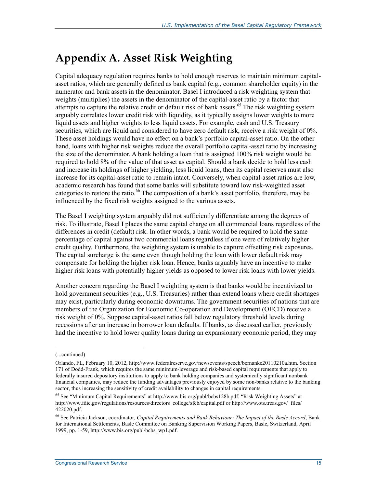## **Appendix A. Asset Risk Weighting**

Capital adequacy regulation requires banks to hold enough reserves to maintain minimum capitalasset ratios, which are generally defined as bank capital (e.g., common shareholder equity) in the numerator and bank assets in the denominator. Basel I introduced a risk weighting system that weights (multiplies) the assets in the denominator of the capital-asset ratio by a factor that attempts to capture the relative credit or default risk of bank assets.<sup>65</sup> The risk weighting system arguably correlates lower credit risk with liquidity, as it typically assigns lower weights to more liquid assets and higher weights to less liquid assets. For example, cash and U.S. Treasury securities, which are liquid and considered to have zero default risk, receive a risk weight of 0%. These asset holdings would have no effect on a bank's portfolio capital-asset ratio. On the other hand, loans with higher risk weights reduce the overall portfolio capital-asset ratio by increasing the size of the denominator. A bank holding a loan that is assigned 100% risk weight would be required to hold 8% of the value of that asset as capital. Should a bank decide to hold less cash and increase its holdings of higher yielding, less liquid loans, then its capital reserves must also increase for its capital-asset ratio to remain intact. Conversely, when capital-asset ratios are low, academic research has found that some banks will substitute toward low risk-weighted asset categories to restore the ratio.<sup>66</sup> The composition of a bank's asset portfolio, therefore, may be influenced by the fixed risk weights assigned to the various assets.

The Basel I weighting system arguably did not sufficiently differentiate among the degrees of risk. To illustrate, Basel I places the same capital charge on all commercial loans regardless of the differences in credit (default) risk. In other words, a bank would be required to hold the same percentage of capital against two commercial loans regardless if one were of relatively higher credit quality. Furthermore, the weighting system is unable to capture offsetting risk exposures. The capital surcharge is the same even though holding the loan with lower default risk may compensate for holding the higher risk loan. Hence, banks arguably have an incentive to make higher risk loans with potentially higher yields as opposed to lower risk loans with lower yields.

Another concern regarding the Basel I weighting system is that banks would be incentivized to hold government securities (e.g., U.S. Treasuries) rather than extend loans where credit shortages may exist, particularly during economic downturns. The government securities of nations that are members of the Organization for Economic Co-operation and Development (OECD) receive a risk weight of 0%. Suppose capital-asset ratios fall below regulatory threshold levels during recessions after an increase in borrower loan defaults. If banks, as discussed earlier, previously had the incentive to hold lower quality loans during an expansionary economic period, they may

<sup>(...</sup>continued)

Orlando, FL, February 10, 2012, http://www.federalreserve.gov/newsevents/speech/bernanke20110210a.htm. Section 171 of Dodd-Frank, which requires the same minimum-leverage and risk-based capital requirements that apply to federally insured depository institutions to apply to bank holding companies and systemically significant nonbank financial companies, may reduce the funding advantages previously enjoyed by some non-banks relative to the banking sector, thus increasing the sensitivity of credit availability to changes in capital requirements.

<sup>65</sup> See "Minimum Capital Requirements" at http://www.bis.org/publ/bcbs128b.pdf; "Risk Weighting Assets" at http://www.fdic.gov/regulations/resources/directors\_college/sfcb/capital.pdf or http://www.ots.treas.gov/\_files/ 422020.pdf.

<sup>66</sup> See Patricia Jackson, coordinator, *Capital Requirements and Bank Behaviour: The Impact of the Basle Accord*, Bank for International Settlements, Basle Committee on Banking Supervision Working Papers, Basle, Switzerland, April 1999, pp. 1-59, http://www.bis.org/publ/bcbs\_wp1.pdf.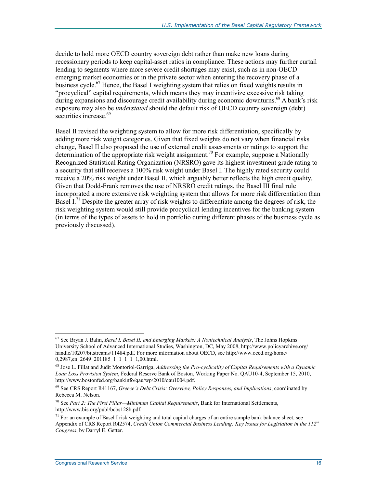decide to hold more OECD country sovereign debt rather than make new loans during recessionary periods to keep capital-asset ratios in compliance. These actions may further curtail lending to segments where more severe credit shortages may exist, such as in non-OECD emerging market economies or in the private sector when entering the recovery phase of a business cycle.<sup>67</sup> Hence, the Basel I weighting system that relies on fixed weights results in "procyclical" capital requirements, which means they may incentivize excessive risk taking during expansions and discourage credit availability during economic downturns.<sup>68</sup> A bank's risk exposure may also be *understated* should the default risk of OECD country sovereign (debt) securities increase.<sup>69</sup>

Basel II revised the weighting system to allow for more risk differentiation, specifically by adding more risk weight categories. Given that fixed weights do not vary when financial risks change, Basel II also proposed the use of external credit assessments or ratings to support the determination of the appropriate risk weight assignment.<sup>70</sup> For example, suppose a Nationally Recognized Statistical Rating Organization (NRSRO) gave its highest investment grade rating to a security that still receives a 100% risk weight under Basel I. The highly rated security could receive a 20% risk weight under Basel II, which arguably better reflects the high credit quality. Given that Dodd-Frank removes the use of NRSRO credit ratings, the Basel III final rule incorporated a more extensive risk weighting system that allows for more risk differentiation than Basel I.<sup>71</sup> Despite the greater array of risk weights to differentiate among the degrees of risk, the risk weighting system would still provide procyclical lending incentives for the banking system (in terms of the types of assets to hold in portfolio during different phases of the business cycle as previously discussed).

<sup>67</sup> See Bryan J. Balin, *Basel I, Basel II, and Emerging Markets: A Nontechnical Analysis*, The Johns Hopkins University School of Advanced International Studies, Washington, DC, May 2008, http://www.policyarchive.org/ handle/10207/bitstreams/11484.pdf. For more information about OECD, see http://www.oecd.org/home/ 0,2987,en\_2649\_201185\_1\_1\_1\_1\_1,00.html.

<sup>68</sup> Jose L. Fillat and Judit Montoriol-Garriga, *Addressing the Pro-cyclicality of Capital Requirements with a Dynamic Loan Loss Provision System*, Federal Reserve Bank of Boston, Working Paper No. QAU10-4, September 15, 2010, http://www.bostonfed.org/bankinfo/qau/wp/2010/qau1004.pdf.

<sup>69</sup> See CRS Report R41167, *Greece's Debt Crisis: Overview, Policy Responses, and Implications*, coordinated by Rebecca M. Nelson.

<sup>70</sup> See *Part 2: The First Pillar—Minimum Capital Requirements*, Bank for International Settlements, http://www.bis.org/publ/bcbs128b.pdf.

 $71$  For an example of Basel I risk weighting and total capital charges of an entire sample bank balance sheet, see Appendix of CRS Report R42574, *Credit Union Commercial Business Lending: Key Issues for Legislation in the 112th Congress*, by Darryl E. Getter.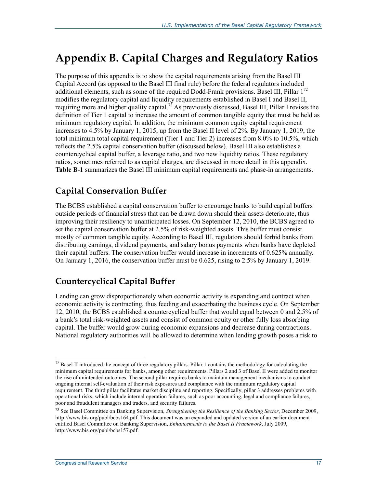## **Appendix B. Capital Charges and Regulatory Ratios**

The purpose of this appendix is to show the capital requirements arising from the Basel III Capital Accord (as opposed to the Basel III final rule) before the federal regulators included additional elements, such as some of the required Dodd-Frank provisions. Basel III, Pillar  $1^{72}$ modifies the regulatory capital and liquidity requirements established in Basel I and Basel II, requiring more and higher quality capital.<sup>73</sup> As previously discussed, Basel III, Pillar I revises the definition of Tier 1 capital to increase the amount of common tangible equity that must be held as minimum regulatory capital. In addition, the minimum common equity capital requirement increases to 4.5% by January 1, 2015, up from the Basel II level of 2%. By January 1, 2019, the total minimum total capital requirement (Tier 1 and Tier 2) increases from 8.0% to 10.5%, which reflects the 2.5% capital conservation buffer (discussed below). Basel III also establishes a countercyclical capital buffer, a leverage ratio, and two new liquidity ratios. These regulatory ratios, sometimes referred to as capital charges, are discussed in more detail in this appendix. **Table B-1** summarizes the Basel III minimum capital requirements and phase-in arrangements.

## **Capital Conservation Buffer**

The BCBS established a capital conservation buffer to encourage banks to build capital buffers outside periods of financial stress that can be drawn down should their assets deteriorate, thus improving their resiliency to unanticipated losses. On September 12, 2010, the BCBS agreed to set the capital conservation buffer at 2.5% of risk-weighted assets. This buffer must consist mostly of common tangible equity. According to Basel III, regulators should forbid banks from distributing earnings, dividend payments, and salary bonus payments when banks have depleted their capital buffers. The conservation buffer would increase in increments of 0.625% annually. On January 1, 2016, the conservation buffer must be 0.625, rising to 2.5% by January 1, 2019.

## **Countercyclical Capital Buffer**

Lending can grow disproportionately when economic activity is expanding and contract when economic activity is contracting, thus feeding and exacerbating the business cycle. On September 12, 2010, the BCBS established a countercyclical buffer that would equal between 0 and 2.5% of a bank's total risk-weighted assets and consist of common equity or other fully loss absorbing capital. The buffer would grow during economic expansions and decrease during contractions. National regulatory authorities will be allowed to determine when lending growth poses a risk to

 $<sup>72</sup>$  Basel II introduced the concept of three regulatory pillars. Pillar 1 contains the methodology for calculating the</sup> minimum capital requirements for banks, among other requirements. Pillars 2 and 3 of Basel II were added to monitor the rise of unintended outcomes. The second pillar requires banks to maintain management mechanisms to conduct ongoing internal self-evaluation of their risk exposures and compliance with the minimum regulatory capital requirement. The third pillar facilitates market discipline and reporting. Specifically, pillar 3 addresses problems with operational risks, which include internal operation failures, such as poor accounting, legal and compliance failures, poor and fraudulent managers and traders, and security failures.

<sup>73</sup> See Basel Committee on Banking Supervision, *Strengthening the Resilience of the Banking Sector*, December 2009, http://www.bis.org/publ/bcbs164.pdf. This document was an expanded and updated version of an earlier document entitled Basel Committee on Banking Supervision, *Enhancements to the Basel II Framework*, July 2009, http://www.bis.org/publ/bcbs157.pdf.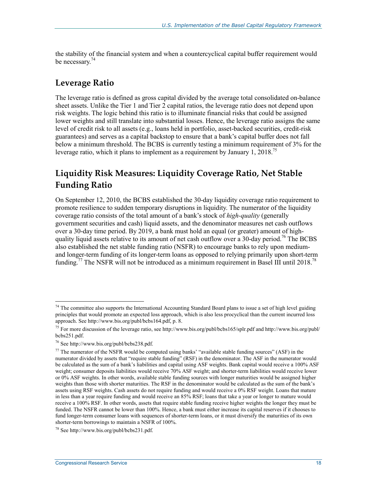the stability of the financial system and when a countercyclical capital buffer requirement would be necessary.<sup>74</sup>

### **Leverage Ratio**

The leverage ratio is defined as gross capital divided by the average total consolidated on-balance sheet assets. Unlike the Tier 1 and Tier 2 capital ratios, the leverage ratio does not depend upon risk weights. The logic behind this ratio is to illuminate financial risks that could be assigned lower weights and still translate into substantial losses. Hence, the leverage ratio assigns the same level of credit risk to all assets (e.g., loans held in portfolio, asset-backed securities, credit-risk guarantees) and serves as a capital backstop to ensure that a bank's capital buffer does not fall below a minimum threshold. The BCBS is currently testing a minimum requirement of 3% for the leverage ratio, which it plans to implement as a requirement by January 1, 2018.<sup>75</sup>

## **Liquidity Risk Measures: Liquidity Coverage Ratio, Net Stable Funding Ratio**

On September 12, 2010, the BCBS established the 30-day liquidity coverage ratio requirement to promote resilience to sudden temporary disruptions in liquidity. The numerator of the liquidity coverage ratio consists of the total amount of a bank's stock of *high-quality* (generally government securities and cash) liquid assets, and the denominator measures net cash outflows over a 30-day time period. By 2019, a bank must hold an equal (or greater) amount of highquality liquid assets relative to its amount of net cash outflow over a 30-day period.<sup>76</sup> The BCBS also established the net stable funding ratio (NSFR) to encourage banks to rely upon mediumand longer-term funding of its longer-term loans as opposed to relying primarily upon short-term funding.<sup>77</sup> The NSFR will not be introduced as a minimum requirement in Basel III until 2018.<sup>78</sup>

 $74$  The committee also supports the International Accounting Standard Board plans to issue a set of high level guiding principles that would promote an expected loss approach, which is also less procyclical than the current incurred loss approach. See http://www.bis.org/publ/bcbs164.pdf, p. 8.

<sup>&</sup>lt;sup>75</sup> For more discussion of the leverage ratio, see http://www.bis.org/publ/bcbs165/splr.pdf and http://www.bis.org/publ/ bcbs251.pdf.

<sup>76</sup> See http://www.bis.org/publ/bcbs238.pdf.

 $77$  The numerator of the NSFR would be computed using banks' "available stable funding sources" (ASF) in the numerator divided by assets that "require stable funding" (RSF) in the denominator. The ASF in the numerator would be calculated as the sum of a bank's liabilities and capital using ASF weights. Bank capital would receive a 100% ASF weight; consumer deposits liabilities would receive 70% ASF weight; and shorter-term liabilities would receive lower or 0% ASF weights. In other words, available stable funding sources with longer maturities would be assigned higher weights than those with shorter maturities. The RSF in the denominator would be calculated as the sum of the bank's assets using RSF weights. Cash assets do not require funding and would receive a 0% RSF weight. Loans that mature in less than a year require funding and would receive an 85% RSF; loans that take a year or longer to mature would receive a 100% RSF. In other words, assets that require stable funding receive higher weights the longer they must be funded. The NSFR cannot be lower than 100%. Hence, a bank must either increase its capital reserves if it chooses to fund longer-term consumer loans with sequences of shorter-term loans, or it must diversify the maturities of its own shorter-term borrowings to maintain a NSFR of 100%.

<sup>78</sup> See http://www.bis.org/publ/bcbs231.pdf.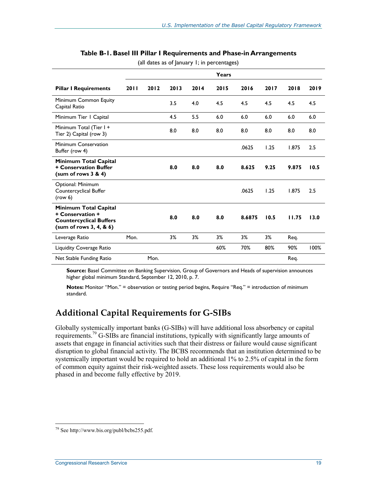|                                                                                                         |      |      |      |      | Years |        |      |       |      |
|---------------------------------------------------------------------------------------------------------|------|------|------|------|-------|--------|------|-------|------|
| <b>Pillar I Requirements</b>                                                                            | 2011 | 2012 | 2013 | 2014 | 2015  | 2016   | 2017 | 2018  | 2019 |
| Minimum Common Equity<br>Capital Ratio                                                                  |      |      | 3.5  | 4.0  | 4.5   | 4.5    | 4.5  | 4.5   | 4.5  |
| Minimum Tier   Capital                                                                                  |      |      | 4.5  | 5.5  | 6.0   | 6.0    | 6.0  | 6.0   | 6.0  |
| Minimum Total (Tier I +<br>Tier 2) Capital (row 3)                                                      |      |      | 8.0  | 8.0  | 8.0   | 8.0    | 8.0  | 8.0   | 8.0  |
| Minimum Conservation<br>Buffer (row 4)                                                                  |      |      |      |      |       | .0625  | 1.25 | 1.875 | 2.5  |
| Minimum Total Capital<br>+ Conservation Buffer<br>(sum of rows 3 & 4)                                   |      |      | 8.0  | 8.0  | 8.0   | 8.625  | 9.25 | 9.875 | 10.5 |
| Optional: Minimum<br>Countercyclical Buffer<br>(row 6)                                                  |      |      |      |      |       | .0625  | 1.25 | 1.875 | 2.5  |
| Minimum Total Capital<br>+ Conservation +<br><b>Countercyclical Buffers</b><br>(sum of rows 3, 4, 8, 6) |      |      | 8.0  | 8.0  | 8.0   | 8.6875 | 10.5 | 11.75 | 13.0 |
| Leverage Ratio                                                                                          | Mon. |      | 3%   | 3%   | 3%    | 3%     | 3%   | Req.  |      |
| <b>Liquidity Coverage Ratio</b>                                                                         |      |      |      |      | 60%   | 70%    | 80%  | 90%   | 100% |
| Net Stable Funding Ratio                                                                                |      | Mon. |      |      |       |        |      | Req.  |      |

#### **Table B-1. Basel III Pillar I Requirements and Phase-in Arrangements**

(all dates as of January 1; in percentages)

**Source:** Basel Committee on Banking Supervision, Group of Governors and Heads of supervision announces higher global minimum Standard, September 12, 2010, p. 7.

**Notes:** Monitor "Mon." = observation or testing period begins, Require "Req." = introduction of minimum standard.

## **Additional Capital Requirements for G-SIBs**

Globally systemically important banks (G-SIBs) will have additional loss absorbency or capital requirements.<sup>79</sup> G-SIBs are financial institutions, typically with significantly large amounts of assets that engage in financial activities such that their distress or failure would cause significant disruption to global financial activity. The BCBS recommends that an institution determined to be systemically important would be required to hold an additional 1% to 2.5% of capital in the form of common equity against their risk-weighted assets. These loss requirements would also be phased in and become fully effective by 2019.

<sup>79</sup> See http://www.bis.org/publ/bcbs255.pdf.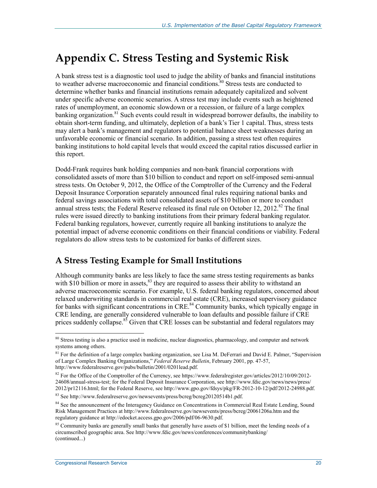## **Appendix C. Stress Testing and Systemic Risk**

A bank stress test is a diagnostic tool used to judge the ability of banks and financial institutions to weather adverse macroeconomic and financial conditions.<sup>80</sup> Stress tests are conducted to determine whether banks and financial institutions remain adequately capitalized and solvent under specific adverse economic scenarios. A stress test may include events such as heightened rates of unemployment, an economic slowdown or a recession, or failure of a large complex banking organization.<sup>81</sup> Such events could result in widespread borrower defaults, the inability to obtain short-term funding, and ultimately, depletion of a bank's Tier 1 capital. Thus, stress tests may alert a bank's management and regulators to potential balance sheet weaknesses during an unfavorable economic or financial scenario. In addition, passing a stress test often requires banking institutions to hold capital levels that would exceed the capital ratios discussed earlier in this report.

Dodd-Frank requires bank holding companies and non-bank financial corporations with consolidated assets of more than \$10 billion to conduct and report on self-imposed semi-annual stress tests. On October 9, 2012, the Office of the Comptroller of the Currency and the Federal Deposit Insurance Corporation separately announced final rules requiring national banks and federal savings associations with total consolidated assets of \$10 billion or more to conduct annual stress tests; the Federal Reserve released its final rule on October 12, 2012.<sup>82</sup> The final rules were issued directly to banking institutions from their primary federal banking regulator. Federal banking regulators, however, currently require all banking institutions to analyze the potential impact of adverse economic conditions on their financial conditions or viability. Federal regulators do allow stress tests to be customized for banks of different sizes.

## **A Stress Testing Example for Small Institutions**

Although community banks are less likely to face the same stress testing requirements as banks with \$10 billion or more in assets, $83$  they are required to assess their ability to withstand an adverse macroeconomic scenario. For example, U.S. federal banking regulators, concerned about relaxed underwriting standards in commercial real estate (CRE), increased supervisory guidance for banks with significant concentrations in  $CRE$ <sup>84</sup> Community banks, which typically engage in CRE lending, are generally considered vulnerable to loan defaults and possible failure if CRE prices suddenly collapse.<sup>85</sup> Given that CRE losses can be substantial and federal regulators may

<sup>&</sup>lt;sup>80</sup> Stress testing is also a practice used in medicine, nuclear diagnostics, pharmacology, and computer and network systems among others.

<sup>&</sup>lt;sup>81</sup> For the definition of a large complex banking organization, see Lisa M. DeFerrari and David E. Palmer, "Supervision of Large Complex Banking Organizations," *Federal Reserve Bulletin*, February 2001, pp. 47-57, http://www.federalreserve.gov/pubs/bulletin/2001/0201lead.pdf.

<sup>&</sup>lt;sup>82</sup> For the Office of the Comptroller of the Currency, see https://www.federalregister.gov/articles/2012/10/09/2012-24608/annual-stress-test; for the Federal Deposit Insurance Corporation, see http://www.fdic.gov/news/news/press/ 2012/pr12116.html; for the Federal Reserve, see http://www.gpo.gov/fdsys/pkg/FR-2012-10-12/pdf/2012-24988.pdf.

<sup>83</sup> See http://www.federalreserve.gov/newsevents/press/bcreg/bcreg20120514b1.pdf.

<sup>&</sup>lt;sup>84</sup> See the announcement of the Interagency Guidance on Concentrations in Commercial Real Estate Lending, Sound Risk Management Practices at http://www.federalreserve.gov/newsevents/press/bcreg/20061206a.htm and the regulatory guidance at http://edocket.access.gpo.gov/2006/pdf/06-9630.pdf.

 $85$  Community banks are generally small banks that generally have assets of \$1 billion, meet the lending needs of a circumscribed geographic area. See http://www.fdic.gov/news/conferences/communitybanking/ (continued...)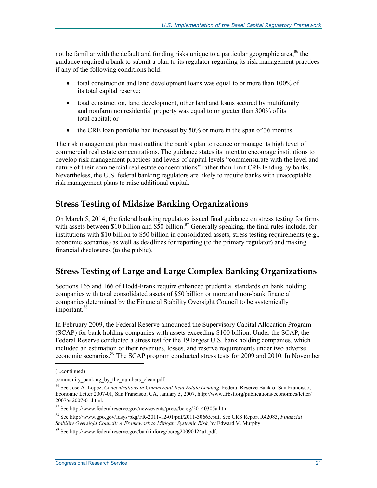not be familiar with the default and funding risks unique to a particular geographic area,  $86$  the guidance required a bank to submit a plan to its regulator regarding its risk management practices if any of the following conditions hold:

- total construction and land development loans was equal to or more than 100% of its total capital reserve;
- total construction, land development, other land and loans secured by multifamily and nonfarm nonresidential property was equal to or greater than 300% of its total capital; or
- the CRE loan portfolio had increased by 50% or more in the span of 36 months.

The risk management plan must outline the bank's plan to reduce or manage its high level of commercial real estate concentrations. The guidance states its intent to encourage institutions to develop risk management practices and levels of capital levels "commensurate with the level and nature of their commercial real estate concentrations" rather than limit CRE lending by banks. Nevertheless, the U.S. federal banking regulators are likely to require banks with unacceptable risk management plans to raise additional capital.

### **Stress Testing of Midsize Banking Organizations**

On March 5, 2014, the federal banking regulators issued final guidance on stress testing for firms with assets between \$10 billion and \$50 billion.<sup>87</sup> Generally speaking, the final rules include, for institutions with \$10 billion to \$50 billion in consolidated assets, stress testing requirements (e.g., economic scenarios) as well as deadlines for reporting (to the primary regulator) and making financial disclosures (to the public).

## **Stress Testing of Large and Large Complex Banking Organizations**

Sections 165 and 166 of Dodd-Frank require enhanced prudential standards on bank holding companies with total consolidated assets of \$50 billion or more and non-bank financial companies determined by the Financial Stability Oversight Council to be systemically important.<sup>88</sup>

In February 2009, the Federal Reserve announced the Supervisory Capital Allocation Program (SCAP) for bank holding companies with assets exceeding \$100 billion. Under the SCAP, the Federal Reserve conducted a stress test for the 19 largest U.S. bank holding companies, which included an estimation of their revenues, losses, and reserve requirements under two adverse economic scenarios.<sup>89</sup> The SCAP program conducted stress tests for 2009 and 2010. In November

<sup>(...</sup>continued)

community\_banking\_by\_the\_numbers\_clean.pdf.

<sup>86</sup> See Jose A. Lopez, *Concentrations in Commercial Real Estate Lending*, Federal Reserve Bank of San Francisco, Economic Letter 2007-01, San Francisco, CA, January 5, 2007, http://www.frbsf.org/publications/economics/letter/ 2007/el2007-01.html.

 $87$  See http://www.federalreserve.gov/newsevents/press/bcreg/20140305a.htm.

<sup>88</sup> See http://www.gpo.gov/fdsys/pkg/FR-2011-12-01/pdf/2011-30665.pdf. See CRS Report R42083, *Financial Stability Oversight Council: A Framework to Mitigate Systemic Risk*, by Edward V. Murphy.

<sup>89</sup> See http://www.federalreserve.gov/bankinforeg/bcreg20090424a1.pdf.